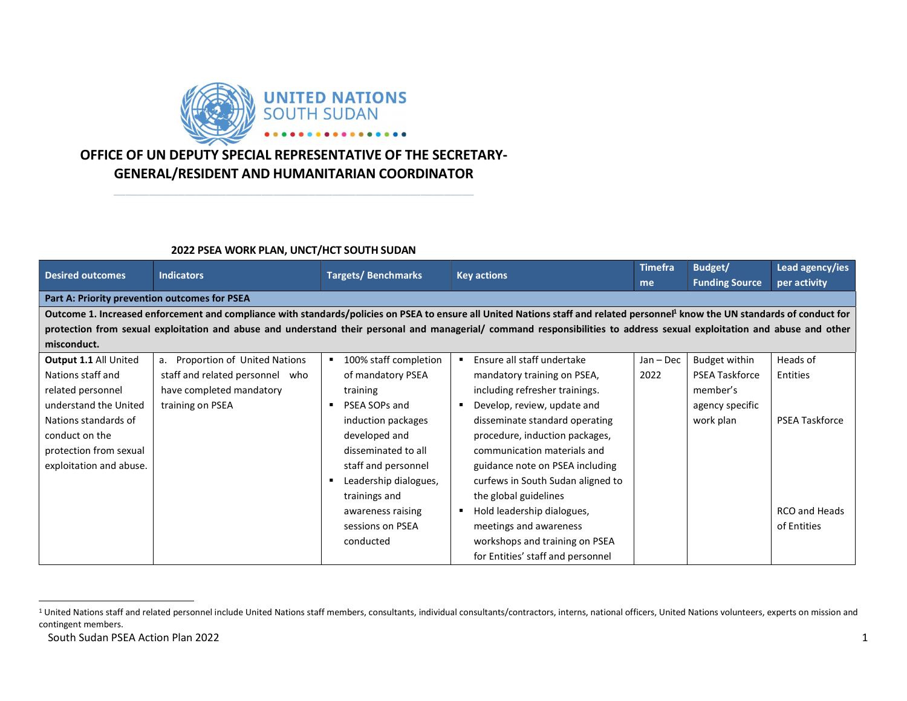

## OFFICE OF UN DEPUTY SPECIAL REPRESENTATIVE OF THE SECRETARY-GENERAL/RESIDENT AND HUMANITARIAN COORDINATOR

\_\_\_\_\_\_\_\_\_\_\_\_\_\_\_\_\_\_\_\_\_\_\_\_\_\_\_\_\_\_\_\_\_\_\_\_\_\_\_\_\_\_\_\_\_\_\_\_\_\_\_\_\_\_\_\_\_\_\_\_\_

## 2022 PSEA WORK PLAN, UNCT/HCT SOUTH SUDAN

| <b>Desired outcomes</b>                                                                                                                                                                    | <b>Indicators</b>                  | <b>Targets/Benchmarks</b> | <b>Key actions</b>                            | Timefra     | Budget/               | Lead agency/ies       |  |  |  |
|--------------------------------------------------------------------------------------------------------------------------------------------------------------------------------------------|------------------------------------|---------------------------|-----------------------------------------------|-------------|-----------------------|-----------------------|--|--|--|
|                                                                                                                                                                                            |                                    |                           |                                               | me          | <b>Funding Source</b> | per activity          |  |  |  |
| Part A: Priority prevention outcomes for PSEA                                                                                                                                              |                                    |                           |                                               |             |                       |                       |  |  |  |
| Outcome 1. Increased enforcement and compliance with standards/policies on PSEA to ensure all United Nations staff and related personnel <sup>1</sup> know the UN standards of conduct for |                                    |                           |                                               |             |                       |                       |  |  |  |
| protection from sexual exploitation and abuse and understand their personal and managerial/ command responsibilities to address sexual exploitation and abuse and other                    |                                    |                           |                                               |             |                       |                       |  |  |  |
| misconduct.                                                                                                                                                                                |                                    |                           |                                               |             |                       |                       |  |  |  |
| <b>Output 1.1 All United</b>                                                                                                                                                               | a. Proportion of United Nations    | 100% staff completion     | Ensure all staff undertake<br>п               | $Jan - Dec$ | Budget within         | Heads of              |  |  |  |
| Nations staff and                                                                                                                                                                          | staff and related personnel<br>who | of mandatory PSEA         | mandatory training on PSEA,                   | 2022        | <b>PSEA Taskforce</b> | Entities              |  |  |  |
| related personnel                                                                                                                                                                          | have completed mandatory           | training                  | including refresher trainings.                |             | member's              |                       |  |  |  |
| understand the United                                                                                                                                                                      | training on PSEA                   | PSEA SOPs and             | Develop, review, update and<br>$\blacksquare$ |             | agency specific       |                       |  |  |  |
| Nations standards of                                                                                                                                                                       |                                    | induction packages        | disseminate standard operating                |             | work plan             | <b>PSEA Taskforce</b> |  |  |  |
| conduct on the                                                                                                                                                                             |                                    | developed and             | procedure, induction packages,                |             |                       |                       |  |  |  |
| protection from sexual                                                                                                                                                                     |                                    | disseminated to all       | communication materials and                   |             |                       |                       |  |  |  |
| exploitation and abuse.                                                                                                                                                                    |                                    | staff and personnel       | guidance note on PSEA including               |             |                       |                       |  |  |  |
|                                                                                                                                                                                            |                                    | Leadership dialogues,     | curfews in South Sudan aligned to             |             |                       |                       |  |  |  |
|                                                                                                                                                                                            |                                    | trainings and             | the global guidelines                         |             |                       |                       |  |  |  |
|                                                                                                                                                                                            |                                    | awareness raising         | Hold leadership dialogues,                    |             |                       | RCO and Heads         |  |  |  |
|                                                                                                                                                                                            |                                    | sessions on PSEA          | meetings and awareness                        |             |                       | of Entities           |  |  |  |
|                                                                                                                                                                                            |                                    | conducted                 | workshops and training on PSEA                |             |                       |                       |  |  |  |
|                                                                                                                                                                                            |                                    |                           | for Entities' staff and personnel             |             |                       |                       |  |  |  |

South Sudan PSEA Action Plan 2022 1

<sup>&</sup>lt;sup>1</sup> United Nations staff and related personnel include United Nations staff members, consultants, individual consultants/contractors, interns, national officers, United Nations volunteers, experts on mission and contingent members.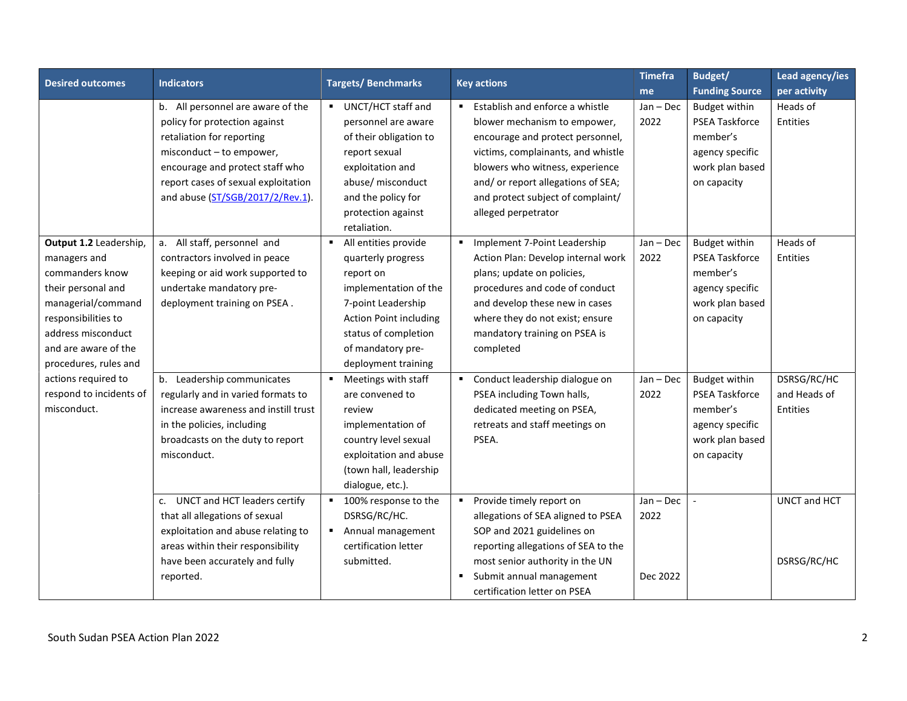| <b>Desired outcomes</b> | <b>Indicators</b>                    | <b>Targets/Benchmarks</b>              | <b>Key actions</b>                                | <b>Timefra</b> | Budget/               | Lead agency/ies |
|-------------------------|--------------------------------------|----------------------------------------|---------------------------------------------------|----------------|-----------------------|-----------------|
|                         |                                      |                                        |                                                   | me             | <b>Funding Source</b> | per activity    |
|                         | b. All personnel are aware of the    | UNCT/HCT staff and                     | Establish and enforce a whistle<br>$\blacksquare$ | $Jan - Dec$    | <b>Budget within</b>  | Heads of        |
|                         | policy for protection against        | personnel are aware                    | blower mechanism to empower,                      | 2022           | <b>PSEA Taskforce</b> | <b>Entities</b> |
|                         | retaliation for reporting            | of their obligation to                 | encourage and protect personnel,                  |                | member's              |                 |
|                         | misconduct - to empower,             | report sexual                          | victims, complainants, and whistle                |                | agency specific       |                 |
|                         | encourage and protect staff who      | exploitation and                       | blowers who witness, experience                   |                | work plan based       |                 |
|                         | report cases of sexual exploitation  | abuse/ misconduct                      | and/ or report allegations of SEA;                |                | on capacity           |                 |
|                         | and abuse (ST/SGB/2017/2/Rev.1).     | and the policy for                     | and protect subject of complaint/                 |                |                       |                 |
|                         |                                      | protection against                     | alleged perpetrator                               |                |                       |                 |
|                         |                                      | retaliation.                           |                                                   |                |                       |                 |
| Output 1.2 Leadership,  | All staff, personnel and<br>a.       | All entities provide<br>$\blacksquare$ | Implement 7-Point Leadership<br>٠                 | $Jan - Dec$    | Budget within         | Heads of        |
| managers and            | contractors involved in peace        | quarterly progress                     | Action Plan: Develop internal work                | 2022           | <b>PSEA Taskforce</b> | Entities        |
| commanders know         | keeping or aid work supported to     | report on                              | plans; update on policies,                        |                | member's              |                 |
| their personal and      | undertake mandatory pre-             | implementation of the                  | procedures and code of conduct                    |                | agency specific       |                 |
| managerial/command      | deployment training on PSEA.         | 7-point Leadership                     | and develop these new in cases                    |                | work plan based       |                 |
| responsibilities to     |                                      | <b>Action Point including</b>          | where they do not exist; ensure                   |                | on capacity           |                 |
| address misconduct      |                                      | status of completion                   | mandatory training on PSEA is                     |                |                       |                 |
| and are aware of the    |                                      | of mandatory pre-                      | completed                                         |                |                       |                 |
| procedures, rules and   |                                      | deployment training                    |                                                   |                |                       |                 |
| actions required to     | b. Leadership communicates           | Meetings with staff<br>$\blacksquare$  | Conduct leadership dialogue on                    | Jan - Dec      | <b>Budget within</b>  | DSRSG/RC/HC     |
| respond to incidents of | regularly and in varied formats to   | are convened to                        | PSEA including Town halls,                        | 2022           | <b>PSEA Taskforce</b> | and Heads of    |
| misconduct.             | increase awareness and instill trust | review                                 | dedicated meeting on PSEA,                        |                | member's              | Entities        |
|                         | in the policies, including           | implementation of                      | retreats and staff meetings on                    |                | agency specific       |                 |
|                         | broadcasts on the duty to report     | country level sexual                   | PSEA.                                             |                | work plan based       |                 |
|                         | misconduct.                          | exploitation and abuse                 |                                                   |                | on capacity           |                 |
|                         |                                      | (town hall, leadership                 |                                                   |                |                       |                 |
|                         |                                      | dialogue, etc.).                       |                                                   |                |                       |                 |
|                         | c. UNCT and HCT leaders certify      | 100% response to the                   | Provide timely report on<br>٠                     | $Jan - Dec$    |                       | UNCT and HCT    |
|                         | that all allegations of sexual       | DSRSG/RC/HC.                           | allegations of SEA aligned to PSEA                | 2022           |                       |                 |
|                         | exploitation and abuse relating to   | Annual management                      | SOP and 2021 guidelines on                        |                |                       |                 |
|                         | areas within their responsibility    | certification letter                   | reporting allegations of SEA to the               |                |                       |                 |
|                         | have been accurately and fully       | submitted.                             | most senior authority in the UN                   |                |                       | DSRSG/RC/HC     |
|                         | reported.                            |                                        | Submit annual management<br>٠                     | Dec 2022       |                       |                 |
|                         |                                      |                                        | certification letter on PSEA                      |                |                       |                 |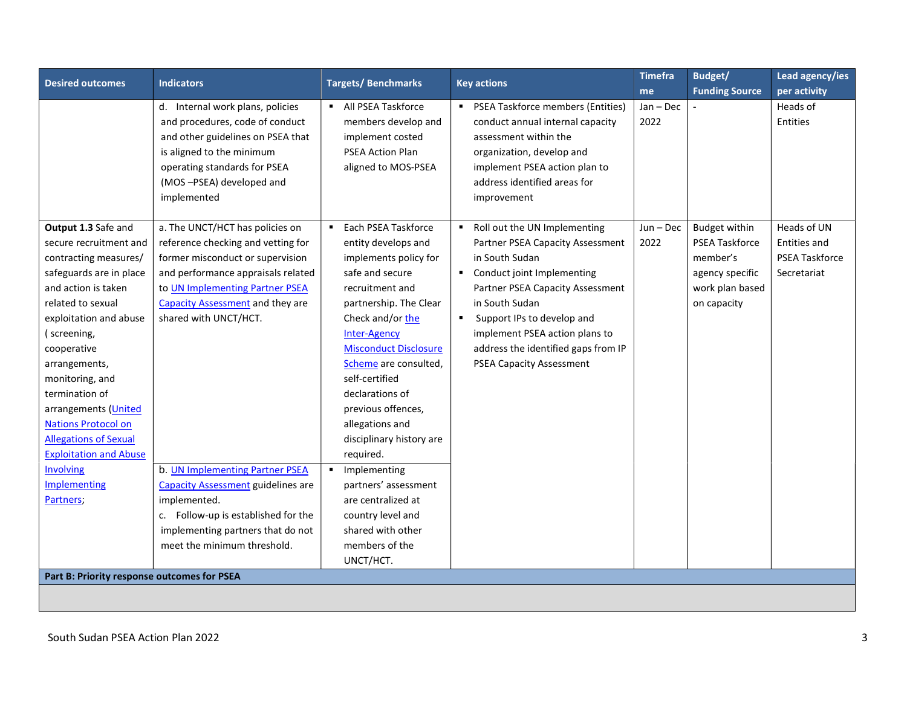| <b>Desired outcomes</b>                                                                                                                                                                                                                                                                                                                                                                                                      | <b>Indicators</b>                                                                                                                                                                                                                                                                                                                                                                                                                                                 | <b>Targets/Benchmarks</b>                                                                                                                                                                                                                                                                                                                                                                                                                                                                                                 | <b>Key actions</b>                                                                                                                                                                                                                                                                                                                                   | <b>Timefra</b>      | Budget/                                                                                                        | Lead agency/ies                                                            |
|------------------------------------------------------------------------------------------------------------------------------------------------------------------------------------------------------------------------------------------------------------------------------------------------------------------------------------------------------------------------------------------------------------------------------|-------------------------------------------------------------------------------------------------------------------------------------------------------------------------------------------------------------------------------------------------------------------------------------------------------------------------------------------------------------------------------------------------------------------------------------------------------------------|---------------------------------------------------------------------------------------------------------------------------------------------------------------------------------------------------------------------------------------------------------------------------------------------------------------------------------------------------------------------------------------------------------------------------------------------------------------------------------------------------------------------------|------------------------------------------------------------------------------------------------------------------------------------------------------------------------------------------------------------------------------------------------------------------------------------------------------------------------------------------------------|---------------------|----------------------------------------------------------------------------------------------------------------|----------------------------------------------------------------------------|
|                                                                                                                                                                                                                                                                                                                                                                                                                              |                                                                                                                                                                                                                                                                                                                                                                                                                                                                   |                                                                                                                                                                                                                                                                                                                                                                                                                                                                                                                           |                                                                                                                                                                                                                                                                                                                                                      | me                  | <b>Funding Source</b>                                                                                          | per activity                                                               |
|                                                                                                                                                                                                                                                                                                                                                                                                                              | d. Internal work plans, policies<br>and procedures, code of conduct<br>and other guidelines on PSEA that<br>is aligned to the minimum<br>operating standards for PSEA<br>(MOS-PSEA) developed and<br>implemented                                                                                                                                                                                                                                                  | • All PSEA Taskforce<br>members develop and<br>implement costed<br><b>PSEA Action Plan</b><br>aligned to MOS-PSEA                                                                                                                                                                                                                                                                                                                                                                                                         | • PSEA Taskforce members (Entities)<br>conduct annual internal capacity<br>assessment within the<br>organization, develop and<br>implement PSEA action plan to<br>address identified areas for<br>improvement                                                                                                                                        | $Jan - Dec$<br>2022 |                                                                                                                | Heads of<br>Entities                                                       |
| Output 1.3 Safe and<br>secure recruitment and<br>contracting measures/<br>safeguards are in place<br>and action is taken<br>related to sexual<br>exploitation and abuse<br>(screening,<br>cooperative<br>arrangements,<br>monitoring, and<br>termination of<br>arrangements (United<br><b>Nations Protocol on</b><br><b>Allegations of Sexual</b><br><b>Exploitation and Abuse</b><br>Involving<br>Implementing<br>Partners; | a. The UNCT/HCT has policies on<br>reference checking and vetting for<br>former misconduct or supervision<br>and performance appraisals related<br>to UN Implementing Partner PSEA<br><b>Capacity Assessment and they are</b><br>shared with UNCT/HCT.<br>b. UN Implementing Partner PSEA<br><b>Capacity Assessment guidelines are</b><br>implemented.<br>c. Follow-up is established for the<br>implementing partners that do not<br>meet the minimum threshold. | Each PSEA Taskforce<br>$\blacksquare$<br>entity develops and<br>implements policy for<br>safe and secure<br>recruitment and<br>partnership. The Clear<br>Check and/or the<br><b>Inter-Agency</b><br><b>Misconduct Disclosure</b><br>Scheme are consulted,<br>self-certified<br>declarations of<br>previous offences,<br>allegations and<br>disciplinary history are<br>required.<br>• Implementing<br>partners' assessment<br>are centralized at<br>country level and<br>shared with other<br>members of the<br>UNCT/HCT. | Roll out the UN Implementing<br>$\blacksquare$<br>Partner PSEA Capacity Assessment<br>in South Sudan<br>Conduct joint Implementing<br>Partner PSEA Capacity Assessment<br>in South Sudan<br>Support IPs to develop and<br>$\blacksquare$<br>implement PSEA action plans to<br>address the identified gaps from IP<br><b>PSEA Capacity Assessment</b> | $Jun - Dec$<br>2022 | <b>Budget within</b><br><b>PSEA Taskforce</b><br>member's<br>agency specific<br>work plan based<br>on capacity | Heads of UN<br><b>Entities and</b><br><b>PSEA Taskforce</b><br>Secretariat |
| Part B: Priority response outcomes for PSEA                                                                                                                                                                                                                                                                                                                                                                                  |                                                                                                                                                                                                                                                                                                                                                                                                                                                                   |                                                                                                                                                                                                                                                                                                                                                                                                                                                                                                                           |                                                                                                                                                                                                                                                                                                                                                      |                     |                                                                                                                |                                                                            |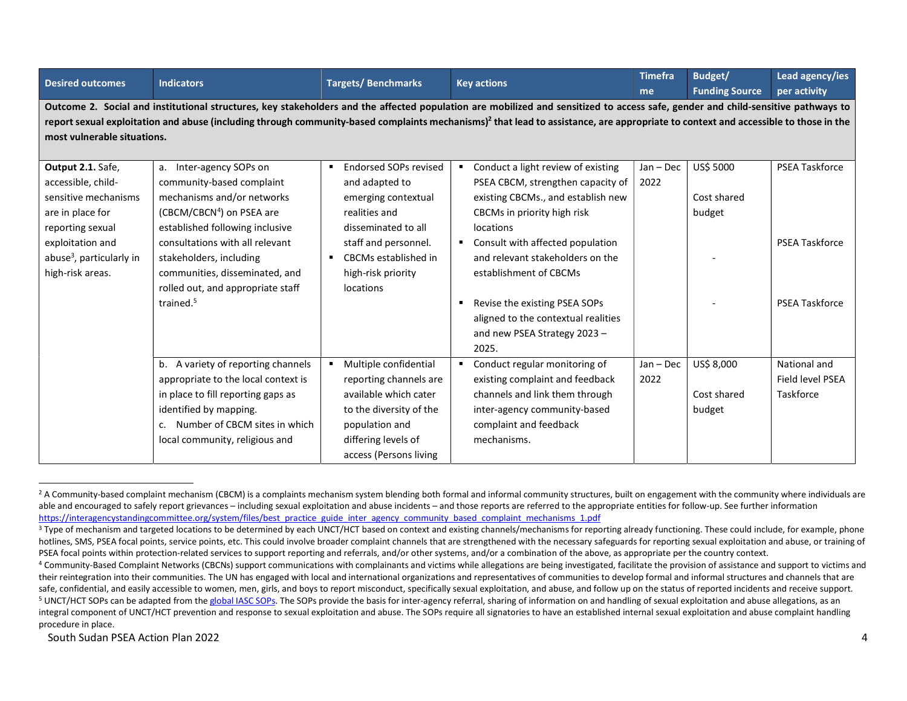| <b>Desired outcomes</b>              | <b>Indicators</b>                     | <b>Targets/Benchmarks</b>  | <b>Key actions</b>                                                                                                                                                                             | <b>Timefra</b> | Budget/               | Lead agency/ies       |
|--------------------------------------|---------------------------------------|----------------------------|------------------------------------------------------------------------------------------------------------------------------------------------------------------------------------------------|----------------|-----------------------|-----------------------|
|                                      |                                       |                            |                                                                                                                                                                                                | me             | <b>Funding Source</b> | per activity          |
|                                      |                                       |                            | Outcome 2. Social and institutional structures, key stakeholders and the affected population are mobilized and sensitized to access safe, gender and child-sensitive pathways to               |                |                       |                       |
|                                      |                                       |                            | report sexual exploitation and abuse (including through community-based complaints mechanisms) <sup>2</sup> that lead to assistance, are appropriate to context and accessible to those in the |                |                       |                       |
| most vulnerable situations.          |                                       |                            |                                                                                                                                                                                                |                |                       |                       |
|                                      |                                       |                            |                                                                                                                                                                                                |                |                       |                       |
| Output 2.1. Safe,                    | a. Inter-agency SOPs on               | Endorsed SOPs revised<br>п | Conduct a light review of existing                                                                                                                                                             | $Jan - Dec$    | US\$ 5000             | <b>PSEA Taskforce</b> |
| accessible, child-                   | community-based complaint             | and adapted to             | PSEA CBCM, strengthen capacity of                                                                                                                                                              | 2022           |                       |                       |
| sensitive mechanisms                 | mechanisms and/or networks            | emerging contextual        | existing CBCMs., and establish new                                                                                                                                                             |                | Cost shared           |                       |
| are in place for                     | (CBCM/CBCN <sup>4</sup> ) on PSEA are | realities and              | CBCMs in priority high risk                                                                                                                                                                    |                | budget                |                       |
| reporting sexual                     | established following inclusive       | disseminated to all        | locations                                                                                                                                                                                      |                |                       |                       |
| exploitation and                     | consultations with all relevant       | staff and personnel.       | Consult with affected population<br>$\blacksquare$                                                                                                                                             |                |                       | <b>PSEA Taskforce</b> |
| abuse <sup>3</sup> , particularly in | stakeholders, including               | CBCMs established in       | and relevant stakeholders on the                                                                                                                                                               |                |                       |                       |
| high-risk areas.                     | communities, disseminated, and        | high-risk priority         | establishment of CBCMs                                                                                                                                                                         |                |                       |                       |
|                                      | rolled out, and appropriate staff     | locations                  |                                                                                                                                                                                                |                |                       |                       |
|                                      | trained. <sup>5</sup>                 |                            | Revise the existing PSEA SOPs                                                                                                                                                                  |                |                       | <b>PSEA Taskforce</b> |
|                                      |                                       |                            | aligned to the contextual realities                                                                                                                                                            |                |                       |                       |
|                                      |                                       |                            | and new PSEA Strategy 2023 -                                                                                                                                                                   |                |                       |                       |
|                                      |                                       |                            | 2025.                                                                                                                                                                                          |                |                       |                       |
|                                      | b. A variety of reporting channels    | Multiple confidential      | Conduct regular monitoring of                                                                                                                                                                  | $Jan - Dec$    | US\$ 8,000            | National and          |
|                                      | appropriate to the local context is   | reporting channels are     | existing complaint and feedback                                                                                                                                                                | 2022           |                       | Field level PSEA      |
|                                      | in place to fill reporting gaps as    | available which cater      | channels and link them through                                                                                                                                                                 |                | Cost shared           | Taskforce             |
|                                      | identified by mapping.                | to the diversity of the    | inter-agency community-based                                                                                                                                                                   |                | budget                |                       |
|                                      | Number of CBCM sites in which<br>C.   | population and             | complaint and feedback                                                                                                                                                                         |                |                       |                       |
|                                      | local community, religious and        | differing levels of        | mechanisms.                                                                                                                                                                                    |                |                       |                       |
|                                      |                                       | access (Persons living     |                                                                                                                                                                                                |                |                       |                       |

<sup>&</sup>lt;sup>2</sup> A Community-based complaint mechanism (CBCM) is a complaints mechanism system blending both formal and informal community structures, built on engagement with the community where individuals are able and encouraged to safely report grievances – including sexual exploitation and abuse incidents – and those reports are referred to the appropriate entities for follow-up. See further information https://interagencystandingcommittee.org/system/files/best\_practice\_guide\_inter\_agency\_community\_based\_complaint\_mechanisms\_1.pdf

<sup>&</sup>lt;sup>3</sup> Type of mechanism and targeted locations to be determined by each UNCT/HCT based on context and existing channels/mechanisms for reporting already functioning. These could include, for example, phone hotlines, SMS, PSEA focal points, service points, etc. This could involve broader complaint channels that are strengthened with the necessary safeguards for reporting sexual exploitation and abuse, or training of PSEA focal points within protection-related services to support reporting and referrals, and/or other systems, and/or a combination of the above, as appropriate per the country context.

<sup>&</sup>lt;sup>4</sup> Community-Based Complaint Networks (CBCNs) support communications with complainants and victims while allegations are being investigated, facilitate the provision of assistance and support to victims and their reintegration into their communities. The UN has engaged with local and international organizations and representatives of communities to develop formal and informal structures and channels that are safe, confidential, and easily accessible to women, men, girls, and boys to report misconduct, specifically sexual exploitation, and abuse, and follow up on the status of reported incidents and receive support. <sup>5</sup> UNCT/HCT SOPs can be adapted from the global IASC SOPs. The SOPs provide the basis for inter-agency referral, sharing of information on and handling of sexual exploitation and abuse allegations, as an integral component of UNCT/HCT prevention and response to sexual exploitation and abuse. The SOPs require all signatories to have an established internal sexual exploitation and abuse complaint handling procedure in place.

South Sudan PSEA Action Plan 2022 4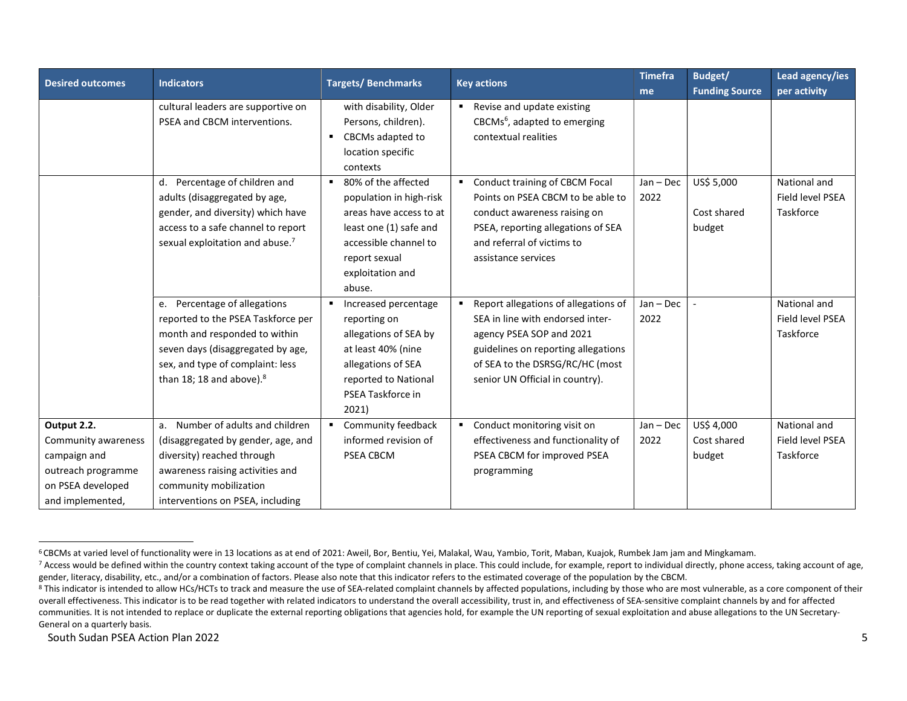| <b>Desired outcomes</b>                                                                                           | <b>Indicators</b>                                                                                                                                                                                                    | <b>Targets/Benchmarks</b><br><b>Key actions</b>                                                                                                                                               | <b>Timefra</b>                                                                                                                                                                                                    | Budget/             | Lead agency/ies                     |                                               |
|-------------------------------------------------------------------------------------------------------------------|----------------------------------------------------------------------------------------------------------------------------------------------------------------------------------------------------------------------|-----------------------------------------------------------------------------------------------------------------------------------------------------------------------------------------------|-------------------------------------------------------------------------------------------------------------------------------------------------------------------------------------------------------------------|---------------------|-------------------------------------|-----------------------------------------------|
|                                                                                                                   |                                                                                                                                                                                                                      |                                                                                                                                                                                               |                                                                                                                                                                                                                   | me                  | <b>Funding Source</b>               | per activity                                  |
|                                                                                                                   | cultural leaders are supportive on<br>PSEA and CBCM interventions.                                                                                                                                                   | with disability, Older<br>Persons, children).<br>CBCMs adapted to<br>$\blacksquare$<br>location specific<br>contexts                                                                          | Revise and update existing<br>$\blacksquare$<br>CBCMs <sup>6</sup> , adapted to emerging<br>contextual realities                                                                                                  |                     |                                     |                                               |
|                                                                                                                   | d. Percentage of children and<br>adults (disaggregated by age,<br>gender, and diversity) which have<br>access to a safe channel to report<br>sexual exploitation and abuse. <sup>7</sup>                             | 80% of the affected<br>$\blacksquare$<br>population in high-risk<br>areas have access to at<br>least one (1) safe and<br>accessible channel to<br>report sexual<br>exploitation and<br>abuse. | Conduct training of CBCM Focal<br>٠<br>Points on PSEA CBCM to be able to<br>conduct awareness raising on<br>PSEA, reporting allegations of SEA<br>and referral of victims to<br>assistance services               | $Jan - Dec$<br>2022 | US\$ 5,000<br>Cost shared<br>budget | National and<br>Field level PSEA<br>Taskforce |
|                                                                                                                   | e. Percentage of allegations<br>reported to the PSEA Taskforce per<br>month and responded to within<br>seven days (disaggregated by age,<br>sex, and type of complaint: less<br>than 18; 18 and above). <sup>8</sup> | Increased percentage<br>reporting on<br>allegations of SEA by<br>at least 40% (nine<br>allegations of SEA<br>reported to National<br>PSEA Taskforce in<br>2021)                               | Report allegations of allegations of<br>SEA in line with endorsed inter-<br>agency PSEA SOP and 2021<br>guidelines on reporting allegations<br>of SEA to the DSRSG/RC/HC (most<br>senior UN Official in country). | $Jan - Dec$<br>2022 |                                     | National and<br>Field level PSEA<br>Taskforce |
| Output 2.2.<br>Community awareness<br>campaign and<br>outreach programme<br>on PSEA developed<br>and implemented, | a. Number of adults and children<br>(disaggregated by gender, age, and<br>diversity) reached through<br>awareness raising activities and<br>community mobilization<br>interventions on PSEA, including               | Community feedback<br>informed revision of<br>PSEA CBCM                                                                                                                                       | Conduct monitoring visit on<br>$\blacksquare$<br>effectiveness and functionality of<br>PSEA CBCM for improved PSEA<br>programming                                                                                 | $Jan - Dec$<br>2022 | US\$ 4,000<br>Cost shared<br>budget | National and<br>Field level PSEA<br>Taskforce |

<sup>6</sup>CBCMs at varied level of functionality were in 13 locations as at end of 2021: Aweil, Bor, Bentiu, Yei, Malakal, Wau, Yambio, Torit, Maban, Kuajok, Rumbek Jam jam and Mingkamam.

<sup>&</sup>lt;sup>7</sup> Access would be defined within the country context taking account of the type of complaint channels in place. This could include, for example, report to individual directly, phone access, taking account of age, gender, literacy, disability, etc., and/or a combination of factors. Please also note that this indicator refers to the estimated coverage of the population by the CBCM.

<sup>&</sup>lt;sup>8</sup> This indicator is intended to allow HCs/HCTs to track and measure the use of SEA-related complaint channels by affected populations, including by those who are most vulnerable, as a core component of their overall effectiveness. This indicator is to be read together with related indicators to understand the overall accessibility, trust in, and effectiveness of SEA-sensitive complaint channels by and for affected communities. It is not intended to replace or duplicate the external reporting obligations that agencies hold, for example the UN reporting of sexual exploitation and abuse allegations to the UN Secretary-General on a quarterly basis.

South Sudan PSEA Action Plan 2022 5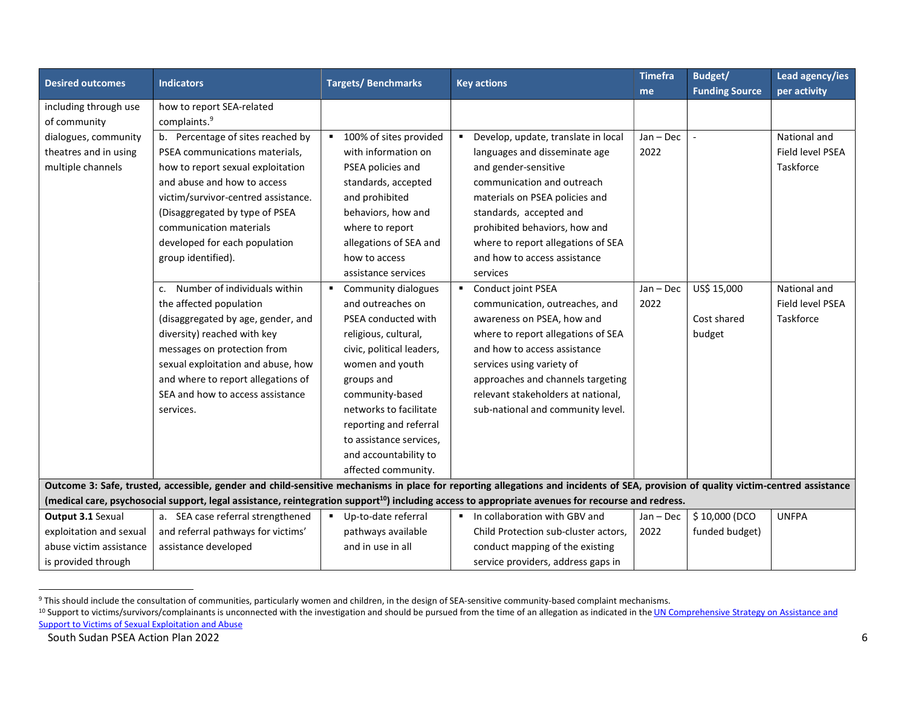| <b>Desired outcomes</b> | <b>Indicators</b>                   | <b>Targets/Benchmarks</b> | <b>Key actions</b>                                                                                                                                                                  | <b>Timefra</b> | Budget/               | Lead agency/ies  |
|-------------------------|-------------------------------------|---------------------------|-------------------------------------------------------------------------------------------------------------------------------------------------------------------------------------|----------------|-----------------------|------------------|
|                         |                                     |                           |                                                                                                                                                                                     | me             | <b>Funding Source</b> | per activity     |
| including through use   | how to report SEA-related           |                           |                                                                                                                                                                                     |                |                       |                  |
| of community            | complaints. <sup>9</sup>            |                           |                                                                                                                                                                                     |                |                       |                  |
| dialogues, community    | b. Percentage of sites reached by   | ■ 100% of sites provided  | Develop, update, translate in local                                                                                                                                                 | Jan - Dec      |                       | National and     |
| theatres and in using   | PSEA communications materials.      | with information on       | languages and disseminate age                                                                                                                                                       | 2022           |                       | Field level PSEA |
| multiple channels       | how to report sexual exploitation   | PSEA policies and         | and gender-sensitive                                                                                                                                                                |                |                       | Taskforce        |
|                         | and abuse and how to access         | standards, accepted       | communication and outreach                                                                                                                                                          |                |                       |                  |
|                         | victim/survivor-centred assistance. | and prohibited            | materials on PSEA policies and                                                                                                                                                      |                |                       |                  |
|                         | (Disaggregated by type of PSEA      | behaviors, how and        | standards, accepted and                                                                                                                                                             |                |                       |                  |
|                         | communication materials             | where to report           | prohibited behaviors, how and                                                                                                                                                       |                |                       |                  |
|                         | developed for each population       | allegations of SEA and    | where to report allegations of SEA                                                                                                                                                  |                |                       |                  |
|                         | group identified).                  | how to access             | and how to access assistance                                                                                                                                                        |                |                       |                  |
|                         |                                     | assistance services       | services                                                                                                                                                                            |                |                       |                  |
|                         | Number of individuals within        | Community dialogues       | Conduct joint PSEA                                                                                                                                                                  | $Jan - Dec$    | US\$ 15,000           | National and     |
|                         | the affected population             | and outreaches on         | communication, outreaches, and                                                                                                                                                      | 2022           |                       | Field level PSEA |
|                         | (disaggregated by age, gender, and  | PSEA conducted with       | awareness on PSEA, how and                                                                                                                                                          |                | Cost shared           | Taskforce        |
|                         | diversity) reached with key         | religious, cultural,      | where to report allegations of SEA                                                                                                                                                  |                | budget                |                  |
|                         | messages on protection from         | civic, political leaders, | and how to access assistance                                                                                                                                                        |                |                       |                  |
|                         | sexual exploitation and abuse, how  | women and youth           | services using variety of                                                                                                                                                           |                |                       |                  |
|                         | and where to report allegations of  | groups and                | approaches and channels targeting                                                                                                                                                   |                |                       |                  |
|                         | SEA and how to access assistance    | community-based           | relevant stakeholders at national,                                                                                                                                                  |                |                       |                  |
|                         | services.                           | networks to facilitate    | sub-national and community level.                                                                                                                                                   |                |                       |                  |
|                         |                                     | reporting and referral    |                                                                                                                                                                                     |                |                       |                  |
|                         |                                     | to assistance services,   |                                                                                                                                                                                     |                |                       |                  |
|                         |                                     | and accountability to     |                                                                                                                                                                                     |                |                       |                  |
|                         |                                     | affected community.       |                                                                                                                                                                                     |                |                       |                  |
|                         |                                     |                           | Outcome 3: Safe, trusted, accessible, gender and child-sensitive mechanisms in place for reporting allegations and incidents of SEA, provision of quality victim-centred assistance |                |                       |                  |
|                         |                                     |                           | (medical care, psychosocial support, legal assistance, reintegration support <sup>10</sup> ) including access to appropriate avenues for recourse and redress.                      |                |                       |                  |
| Output 3.1 Sexual       | a. SEA case referral strengthened   | Up-to-date referral       | In collaboration with GBV and                                                                                                                                                       | Jan - Dec      | \$10,000 (DCO         | <b>UNFPA</b>     |
| exploitation and sexual | and referral pathways for victims'  | pathways available        | Child Protection sub-cluster actors,                                                                                                                                                | 2022           | funded budget)        |                  |
| abuse victim assistance | assistance developed                | and in use in all         | conduct mapping of the existing                                                                                                                                                     |                |                       |                  |
| is provided through     |                                     |                           | service providers, address gaps in                                                                                                                                                  |                |                       |                  |

<sup>&</sup>lt;sup>9</sup> This should include the consultation of communities, particularly women and children, in the design of SEA-sensitive community-based complaint mechanisms.

<sup>&</sup>lt;sup>10</sup> Support to victims/survivors/complainants is unconnected with the investigation and should be pursued from the time of an allegation as indicated in the <u>UN Comprehensive Strategy on Assistance and</u> Support to Victims of Sexual Exploitation and Abuse

South Sudan PSEA Action Plan 2022 6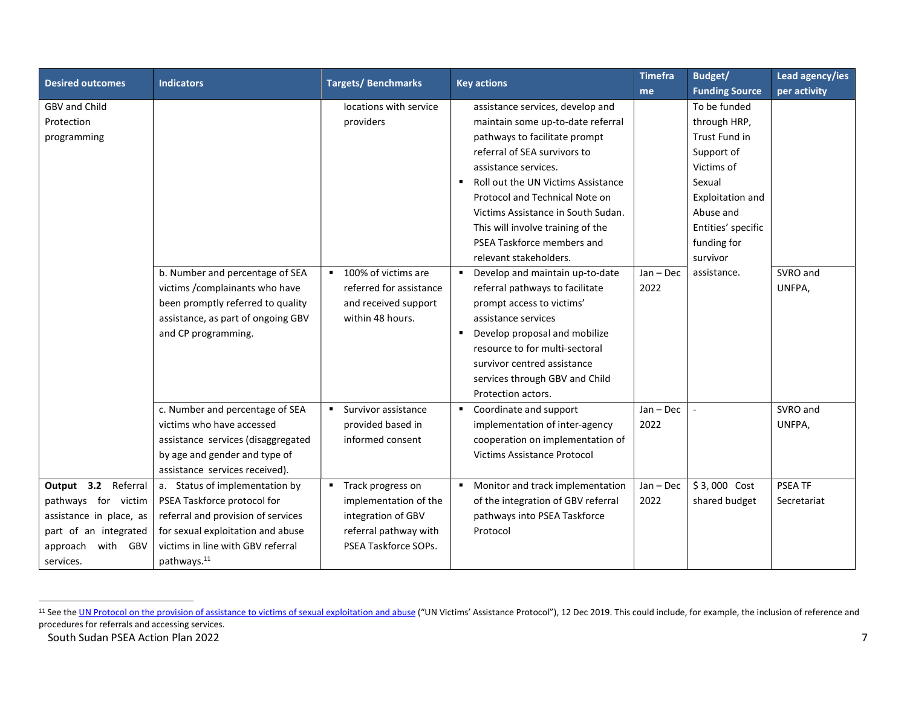| <b>Desired outcomes</b> | <b>Indicators</b>                  | <b>Targets/Benchmarks</b>             | <b>Key actions</b>                                | <b>Timefra</b> | Budget/               | Lead agency/ies |
|-------------------------|------------------------------------|---------------------------------------|---------------------------------------------------|----------------|-----------------------|-----------------|
|                         |                                    |                                       |                                                   | me             | <b>Funding Source</b> | per activity    |
| GBV and Child           |                                    | locations with service                | assistance services, develop and                  |                | To be funded          |                 |
| Protection              |                                    | providers                             | maintain some up-to-date referral                 |                | through HRP,          |                 |
| programming             |                                    |                                       | pathways to facilitate prompt                     |                | Trust Fund in         |                 |
|                         |                                    |                                       | referral of SEA survivors to                      |                | Support of            |                 |
|                         |                                    |                                       | assistance services.                              |                | Victims of            |                 |
|                         |                                    |                                       | Roll out the UN Victims Assistance                |                | Sexual                |                 |
|                         |                                    |                                       | Protocol and Technical Note on                    |                | Exploitation and      |                 |
|                         |                                    |                                       | Victims Assistance in South Sudan.                |                | Abuse and             |                 |
|                         |                                    |                                       | This will involve training of the                 |                | Entities' specific    |                 |
|                         |                                    |                                       | PSEA Taskforce members and                        |                | funding for           |                 |
|                         |                                    |                                       | relevant stakeholders.                            |                | survivor              |                 |
|                         | b. Number and percentage of SEA    | 100% of victims are<br>$\blacksquare$ | Develop and maintain up-to-date<br>$\blacksquare$ | $Jan - Dec$    | assistance.           | SVRO and        |
|                         | victims / complainants who have    | referred for assistance               | referral pathways to facilitate                   | 2022           |                       | UNFPA,          |
|                         | been promptly referred to quality  | and received support                  | prompt access to victims'                         |                |                       |                 |
|                         | assistance, as part of ongoing GBV | within 48 hours.                      | assistance services                               |                |                       |                 |
|                         | and CP programming.                |                                       | Develop proposal and mobilize<br>$\blacksquare$   |                |                       |                 |
|                         |                                    |                                       | resource to for multi-sectoral                    |                |                       |                 |
|                         |                                    |                                       | survivor centred assistance                       |                |                       |                 |
|                         |                                    |                                       | services through GBV and Child                    |                |                       |                 |
|                         |                                    |                                       | Protection actors.                                |                |                       |                 |
|                         | c. Number and percentage of SEA    | Survivor assistance                   | Coordinate and support<br>٠                       | $Jan - Dec$    |                       | SVRO and        |
|                         | victims who have accessed          | provided based in                     | implementation of inter-agency                    | 2022           |                       | UNFPA,          |
|                         | assistance services (disaggregated | informed consent                      | cooperation on implementation of                  |                |                       |                 |
|                         | by age and gender and type of      |                                       | <b>Victims Assistance Protocol</b>                |                |                       |                 |
|                         | assistance services received).     |                                       |                                                   |                |                       |                 |
| Output 3.2 Referral     | a. Status of implementation by     | ■ Track progress on                   | Monitor and track implementation                  | Jan - Dec      | \$3,000 Cost          | PSEA TF         |
| pathways for victim     | PSEA Taskforce protocol for        | implementation of the                 | of the integration of GBV referral                | 2022           | shared budget         | Secretariat     |
| assistance in place, as | referral and provision of services | integration of GBV                    | pathways into PSEA Taskforce                      |                |                       |                 |
| part of an integrated   | for sexual exploitation and abuse  | referral pathway with                 | Protocol                                          |                |                       |                 |
| with GBV<br>approach    | victims in line with GBV referral  | PSEA Taskforce SOPs.                  |                                                   |                |                       |                 |
| services.               | pathways. <sup>11</sup>            |                                       |                                                   |                |                       |                 |

South Sudan PSEA Action Plan 2022 **7** <sup>11</sup> See the UN Protocol on the provision of assistance to victims of sexual exploitation and abuse ("UN Victims' Assistance Protocol"), 12 Dec 2019. This could include, for example, the inclusion of reference and procedures for referrals and accessing services.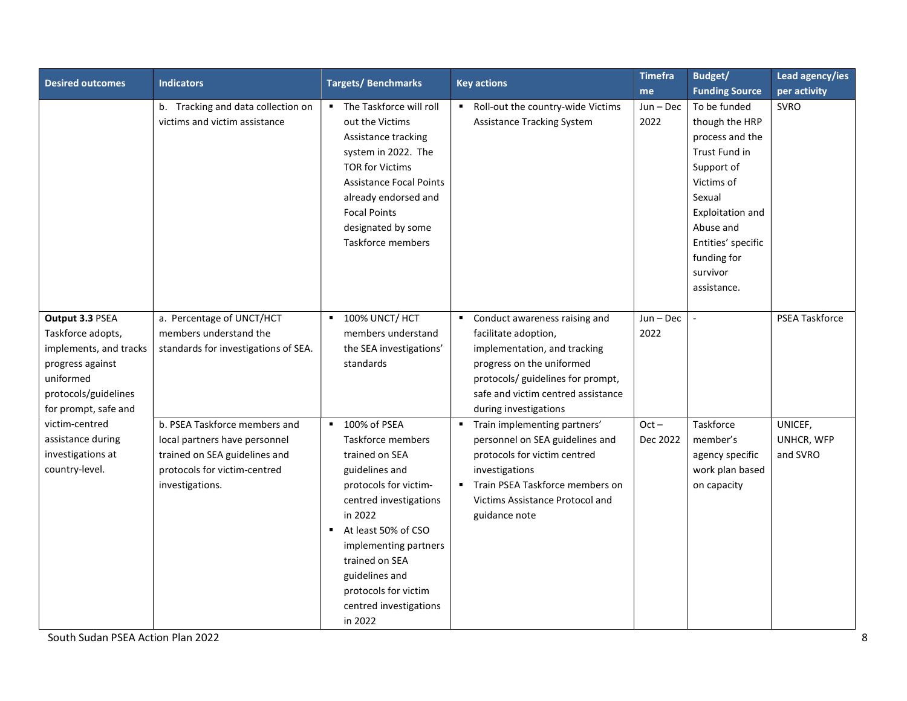| <b>Desired outcomes</b>                                                                                                                         | <b>Indicators</b>                                                                                                                                  | <b>Targets/Benchmarks</b>                                                                                                                                                                                                                                                              | <b>Key actions</b>                                                                                                                                                                                                                       | <b>Timefra</b>      | Budget/                                                                                                                                                                                                   | Lead agency/ies                   |
|-------------------------------------------------------------------------------------------------------------------------------------------------|----------------------------------------------------------------------------------------------------------------------------------------------------|----------------------------------------------------------------------------------------------------------------------------------------------------------------------------------------------------------------------------------------------------------------------------------------|------------------------------------------------------------------------------------------------------------------------------------------------------------------------------------------------------------------------------------------|---------------------|-----------------------------------------------------------------------------------------------------------------------------------------------------------------------------------------------------------|-----------------------------------|
|                                                                                                                                                 |                                                                                                                                                    |                                                                                                                                                                                                                                                                                        |                                                                                                                                                                                                                                          | me                  | <b>Funding Source</b>                                                                                                                                                                                     | per activity                      |
|                                                                                                                                                 | b. Tracking and data collection on<br>victims and victim assistance                                                                                | • The Taskforce will roll<br>out the Victims<br>Assistance tracking<br>system in 2022. The<br><b>TOR for Victims</b><br><b>Assistance Focal Points</b><br>already endorsed and<br><b>Focal Points</b><br>designated by some<br>Taskforce members                                       | Roll-out the country-wide Victims<br><b>Assistance Tracking System</b>                                                                                                                                                                   | Jun-Dec<br>2022     | To be funded<br>though the HRP<br>process and the<br>Trust Fund in<br>Support of<br>Victims of<br>Sexual<br>Exploitation and<br>Abuse and<br>Entities' specific<br>funding for<br>survivor<br>assistance. | <b>SVRO</b>                       |
| Output 3.3 PSEA<br>Taskforce adopts,<br>implements, and tracks<br>progress against<br>uniformed<br>protocols/guidelines<br>for prompt, safe and | a. Percentage of UNCT/HCT<br>members understand the<br>standards for investigations of SEA.                                                        | <b>100% UNCT/ HCT</b><br>members understand<br>the SEA investigations'<br>standards                                                                                                                                                                                                    | Conduct awareness raising and<br>$\blacksquare$<br>facilitate adoption,<br>implementation, and tracking<br>progress on the uniformed<br>protocols/ guidelines for prompt,<br>safe and victim centred assistance<br>during investigations | $Jun - Dec$<br>2022 | $\sim$                                                                                                                                                                                                    | PSEA Taskforce                    |
| victim-centred<br>assistance during<br>investigations at<br>country-level.                                                                      | b. PSEA Taskforce members and<br>local partners have personnel<br>trained on SEA guidelines and<br>protocols for victim-centred<br>investigations. | ■ 100% of PSEA<br>Taskforce members<br>trained on SEA<br>guidelines and<br>protocols for victim-<br>centred investigations<br>in 2022<br>At least 50% of CSO<br>implementing partners<br>trained on SEA<br>guidelines and<br>protocols for victim<br>centred investigations<br>in 2022 | Train implementing partners'<br>personnel on SEA guidelines and<br>protocols for victim centred<br>investigations<br>Train PSEA Taskforce members on<br>Victims Assistance Protocol and<br>guidance note                                 | $Oct -$<br>Dec 2022 | Taskforce<br>member's<br>agency specific<br>work plan based<br>on capacity                                                                                                                                | UNICEF,<br>UNHCR, WFP<br>and SVRO |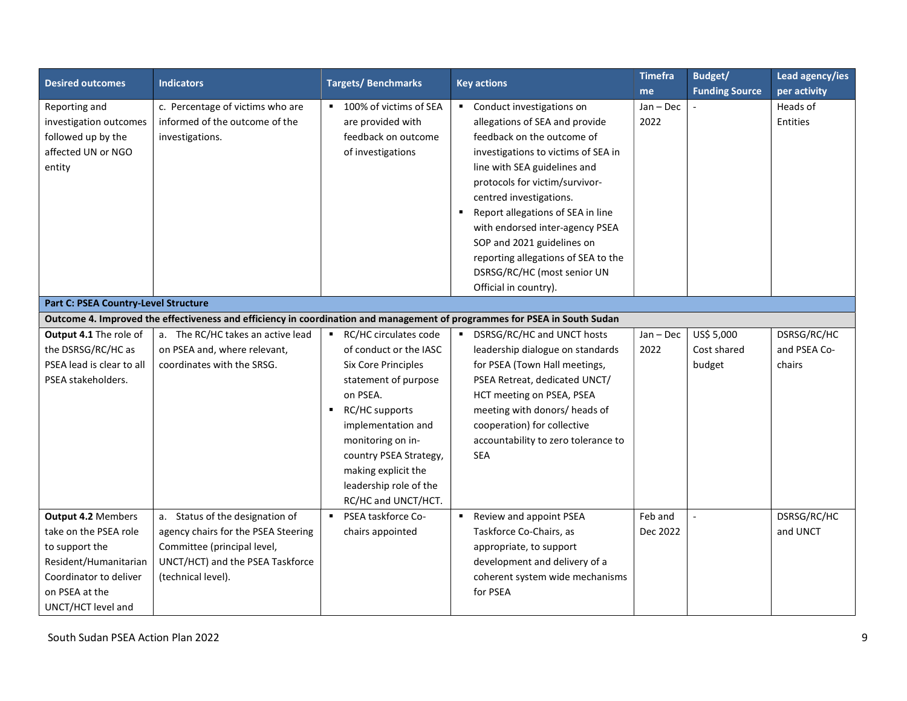| <b>Desired outcomes</b>                                                                                                                                         | <b>Indicators</b>                                                                                                                                               | <b>Targets/Benchmarks</b><br><b>Key actions</b>                                                                                                                                                                               | <b>Timefra</b>                                                                                                                                                                                                   | Budget/             | Lead agency/ies       |                             |  |  |
|-----------------------------------------------------------------------------------------------------------------------------------------------------------------|-----------------------------------------------------------------------------------------------------------------------------------------------------------------|-------------------------------------------------------------------------------------------------------------------------------------------------------------------------------------------------------------------------------|------------------------------------------------------------------------------------------------------------------------------------------------------------------------------------------------------------------|---------------------|-----------------------|-----------------------------|--|--|
|                                                                                                                                                                 |                                                                                                                                                                 |                                                                                                                                                                                                                               |                                                                                                                                                                                                                  | me                  | <b>Funding Source</b> | per activity                |  |  |
| Reporting and<br>investigation outcomes<br>followed up by the<br>affected UN or NGO                                                                             | c. Percentage of victims who are<br>informed of the outcome of the<br>investigations.                                                                           | ■ 100% of victims of SEA<br>are provided with<br>feedback on outcome<br>of investigations                                                                                                                                     | • Conduct investigations on<br>allegations of SEA and provide<br>feedback on the outcome of<br>investigations to victims of SEA in                                                                               | $Jan - Dec$<br>2022 |                       | Heads of<br><b>Entities</b> |  |  |
| entity                                                                                                                                                          |                                                                                                                                                                 |                                                                                                                                                                                                                               | line with SEA guidelines and<br>protocols for victim/survivor-<br>centred investigations.<br>Report allegations of SEA in line                                                                                   |                     |                       |                             |  |  |
|                                                                                                                                                                 |                                                                                                                                                                 |                                                                                                                                                                                                                               | with endorsed inter-agency PSEA<br>SOP and 2021 guidelines on<br>reporting allegations of SEA to the<br>DSRSG/RC/HC (most senior UN<br>Official in country).                                                     |                     |                       |                             |  |  |
| <b>Part C: PSEA Country-Level Structure</b>                                                                                                                     |                                                                                                                                                                 |                                                                                                                                                                                                                               |                                                                                                                                                                                                                  |                     |                       |                             |  |  |
| Outcome 4. Improved the effectiveness and efficiency in coordination and management of programmes for PSEA in South Sudan                                       |                                                                                                                                                                 |                                                                                                                                                                                                                               |                                                                                                                                                                                                                  |                     |                       |                             |  |  |
| Output 4.1 The role of                                                                                                                                          | a. The RC/HC takes an active lead                                                                                                                               | RC/HC circulates code                                                                                                                                                                                                         | DSRSG/RC/HC and UNCT hosts                                                                                                                                                                                       | Jan - Dec           | US\$ 5,000            | DSRSG/RC/HC                 |  |  |
| the DSRSG/RC/HC as                                                                                                                                              | on PSEA and, where relevant,                                                                                                                                    | of conduct or the IASC                                                                                                                                                                                                        | leadership dialogue on standards                                                                                                                                                                                 | 2022                | Cost shared           | and PSEA Co-                |  |  |
| PSEA lead is clear to all<br>PSEA stakeholders.                                                                                                                 | coordinates with the SRSG.                                                                                                                                      | <b>Six Core Principles</b><br>statement of purpose<br>on PSEA.<br>RC/HC supports<br>implementation and<br>monitoring on in-<br>country PSEA Strategy,<br>making explicit the<br>leadership role of the<br>RC/HC and UNCT/HCT. | for PSEA (Town Hall meetings,<br>PSEA Retreat, dedicated UNCT/<br>HCT meeting on PSEA, PSEA<br>meeting with donors/ heads of<br>cooperation) for collective<br>accountability to zero tolerance to<br><b>SEA</b> |                     | budget                | chairs                      |  |  |
| <b>Output 4.2 Members</b><br>take on the PSEA role<br>to support the<br>Resident/Humanitarian<br>Coordinator to deliver<br>on PSEA at the<br>UNCT/HCT level and | a. Status of the designation of<br>agency chairs for the PSEA Steering<br>Committee (principal level,<br>UNCT/HCT) and the PSEA Taskforce<br>(technical level). | PSEA taskforce Co-<br>$\blacksquare$<br>chairs appointed                                                                                                                                                                      | Review and appoint PSEA<br>$\blacksquare$<br>Taskforce Co-Chairs, as<br>appropriate, to support<br>development and delivery of a<br>coherent system wide mechanisms<br>for PSEA                                  | Feb and<br>Dec 2022 | $\blacksquare$        | DSRSG/RC/HC<br>and UNCT     |  |  |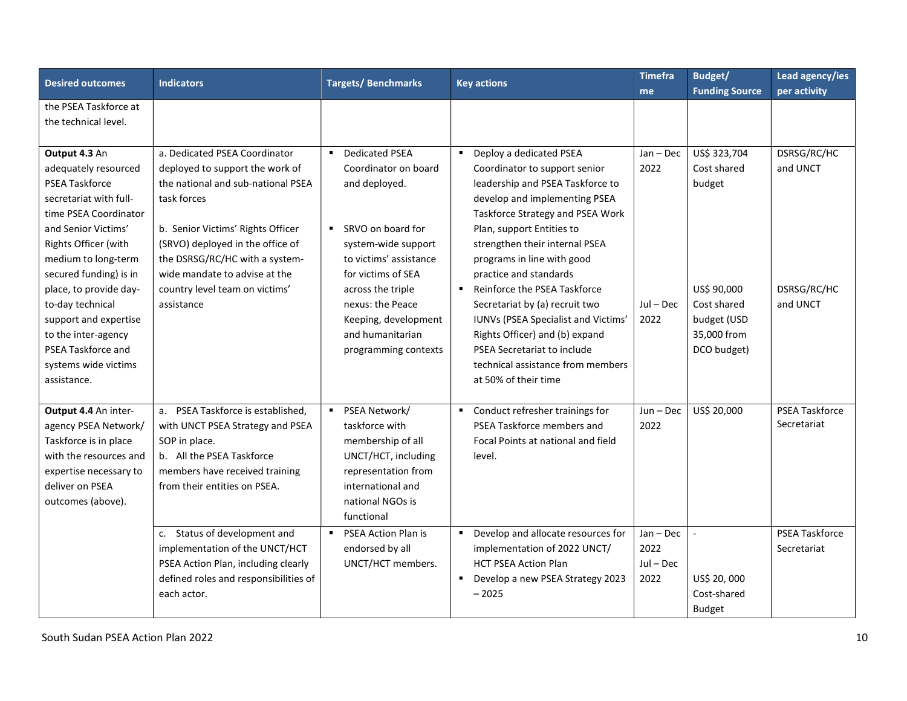| <b>Desired outcomes</b>                                                                                                                                                                                                                                                                                                                                                             | <b>Indicators</b>                                                                                                                                                                                                                                                                                                 | <b>Targets/Benchmarks</b>                                                                                                                                                                                                                                                                   | <b>Key actions</b>                                                                                                                                                                                                                                                                                                                                                                                                                                                                                                                                  | <b>Timefra</b>                           | Budget/                                                                                                          | Lead agency/ies                                    |
|-------------------------------------------------------------------------------------------------------------------------------------------------------------------------------------------------------------------------------------------------------------------------------------------------------------------------------------------------------------------------------------|-------------------------------------------------------------------------------------------------------------------------------------------------------------------------------------------------------------------------------------------------------------------------------------------------------------------|---------------------------------------------------------------------------------------------------------------------------------------------------------------------------------------------------------------------------------------------------------------------------------------------|-----------------------------------------------------------------------------------------------------------------------------------------------------------------------------------------------------------------------------------------------------------------------------------------------------------------------------------------------------------------------------------------------------------------------------------------------------------------------------------------------------------------------------------------------------|------------------------------------------|------------------------------------------------------------------------------------------------------------------|----------------------------------------------------|
|                                                                                                                                                                                                                                                                                                                                                                                     |                                                                                                                                                                                                                                                                                                                   |                                                                                                                                                                                                                                                                                             |                                                                                                                                                                                                                                                                                                                                                                                                                                                                                                                                                     | me                                       | <b>Funding Source</b>                                                                                            | per activity                                       |
| the PSEA Taskforce at<br>the technical level.                                                                                                                                                                                                                                                                                                                                       |                                                                                                                                                                                                                                                                                                                   |                                                                                                                                                                                                                                                                                             |                                                                                                                                                                                                                                                                                                                                                                                                                                                                                                                                                     |                                          |                                                                                                                  |                                                    |
| Output 4.3 An<br>adequately resourced<br><b>PSEA Taskforce</b><br>secretariat with full-<br>time PSEA Coordinator<br>and Senior Victims'<br>Rights Officer (with<br>medium to long-term<br>secured funding) is in<br>place, to provide day-<br>to-day technical<br>support and expertise<br>to the inter-agency<br><b>PSEA Taskforce and</b><br>systems wide victims<br>assistance. | a. Dedicated PSEA Coordinator<br>deployed to support the work of<br>the national and sub-national PSEA<br>task forces<br>b. Senior Victims' Rights Officer<br>(SRVO) deployed in the office of<br>the DSRSG/RC/HC with a system-<br>wide mandate to advise at the<br>country level team on victims'<br>assistance | <b>Dedicated PSEA</b><br>$\blacksquare$<br>Coordinator on board<br>and deployed.<br>■ SRVO on board for<br>system-wide support<br>to victims' assistance<br>for victims of SEA<br>across the triple<br>nexus: the Peace<br>Keeping, development<br>and humanitarian<br>programming contexts | Deploy a dedicated PSEA<br>$\blacksquare$<br>Coordinator to support senior<br>leadership and PSEA Taskforce to<br>develop and implementing PSEA<br>Taskforce Strategy and PSEA Work<br>Plan, support Entities to<br>strengthen their internal PSEA<br>programs in line with good<br>practice and standards<br>■ Reinforce the PSEA Taskforce<br>Secretariat by (a) recruit two<br>IUNVs (PSEA Specialist and Victims'<br>Rights Officer) and (b) expand<br>PSEA Secretariat to include<br>technical assistance from members<br>at 50% of their time | Jan - Dec<br>2022<br>$Jul - Dec$<br>2022 | US\$ 323,704<br>Cost shared<br>budget<br>US\$ 90,000<br>Cost shared<br>budget (USD<br>35,000 from<br>DCO budget) | DSRSG/RC/HC<br>and UNCT<br>DSRSG/RC/HC<br>and UNCT |
| Output 4.4 An inter-<br>agency PSEA Network/<br>Taskforce is in place<br>with the resources and<br>expertise necessary to<br>deliver on PSEA<br>outcomes (above).                                                                                                                                                                                                                   | a. PSEA Taskforce is established,<br>with UNCT PSEA Strategy and PSEA<br>SOP in place.<br>b. All the PSEA Taskforce<br>members have received training<br>from their entities on PSEA.                                                                                                                             | PSEA Network/<br>taskforce with<br>membership of all<br>UNCT/HCT, including<br>representation from<br>international and<br>national NGOs is<br>functional                                                                                                                                   | • Conduct refresher trainings for<br>PSEA Taskforce members and<br>Focal Points at national and field<br>level.                                                                                                                                                                                                                                                                                                                                                                                                                                     | $Jun - Dec$<br>2022                      | US\$ 20,000                                                                                                      | <b>PSEA Taskforce</b><br>Secretariat               |
|                                                                                                                                                                                                                                                                                                                                                                                     | c. Status of development and<br>implementation of the UNCT/HCT<br>PSEA Action Plan, including clearly<br>defined roles and responsibilities of<br>each actor.                                                                                                                                                     | <b>PSEA Action Plan is</b><br>$\blacksquare$<br>endorsed by all<br>UNCT/HCT members.                                                                                                                                                                                                        | • Develop and allocate resources for<br>implementation of 2022 UNCT/<br><b>HCT PSEA Action Plan</b><br>Develop a new PSEA Strategy 2023<br>$-2025$                                                                                                                                                                                                                                                                                                                                                                                                  | Jan - Dec<br>2022<br>$Jul - Dec$<br>2022 | $\mathbb{L}^+$<br>US\$ 20,000<br>Cost-shared<br><b>Budget</b>                                                    | PSEA Taskforce<br>Secretariat                      |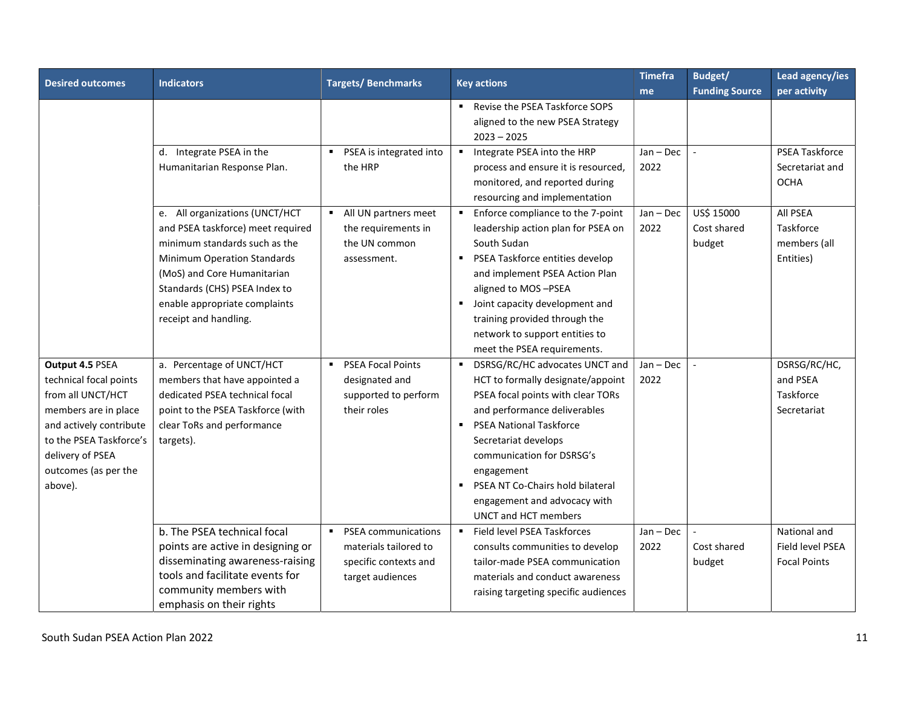| <b>Desired outcomes</b> | <b>Indicators</b>                 | <b>Targets/Benchmarks</b>                 | <b>Key actions</b>                                  | <b>Timefra</b> | Budget/                  | Lead agency/ies       |
|-------------------------|-----------------------------------|-------------------------------------------|-----------------------------------------------------|----------------|--------------------------|-----------------------|
|                         |                                   |                                           |                                                     | me             | <b>Funding Source</b>    | per activity          |
|                         |                                   |                                           | Revise the PSEA Taskforce SOPS                      |                |                          |                       |
|                         |                                   |                                           | aligned to the new PSEA Strategy                    |                |                          |                       |
|                         |                                   |                                           | $2023 - 2025$                                       |                |                          |                       |
|                         | d. Integrate PSEA in the          | PSEA is integrated into<br>$\blacksquare$ | Integrate PSEA into the HRP<br>$\blacksquare$       | $Jan - Dec$    | $\overline{\phantom{a}}$ | <b>PSEA Taskforce</b> |
|                         | Humanitarian Response Plan.       | the HRP                                   | process and ensure it is resourced,                 | 2022           |                          | Secretariat and       |
|                         |                                   |                                           | monitored, and reported during                      |                |                          | <b>OCHA</b>           |
|                         |                                   |                                           | resourcing and implementation                       |                |                          |                       |
|                         | e. All organizations (UNCT/HCT    | • All UN partners meet                    | Enforce compliance to the 7-point<br>$\blacksquare$ | $Jan - Dec$    | US\$ 15000               | All PSEA              |
|                         | and PSEA taskforce) meet required | the requirements in                       | leadership action plan for PSEA on                  | 2022           | Cost shared              | Taskforce             |
|                         | minimum standards such as the     | the UN common                             | South Sudan                                         |                | budget                   | members (all          |
|                         | Minimum Operation Standards       | assessment.                               | PSEA Taskforce entities develop<br>п                |                |                          | Entities)             |
|                         | (MoS) and Core Humanitarian       |                                           | and implement PSEA Action Plan                      |                |                          |                       |
|                         | Standards (CHS) PSEA Index to     |                                           | aligned to MOS-PSEA                                 |                |                          |                       |
|                         | enable appropriate complaints     |                                           | Joint capacity development and<br>$\blacksquare$    |                |                          |                       |
|                         | receipt and handling.             |                                           | training provided through the                       |                |                          |                       |
|                         |                                   |                                           | network to support entities to                      |                |                          |                       |
|                         |                                   |                                           | meet the PSEA requirements.                         |                |                          |                       |
| Output 4.5 PSEA         | a. Percentage of UNCT/HCT         | <b>PSEA Focal Points</b>                  | DSRSG/RC/HC advocates UNCT and                      | Jan - Dec      |                          | DSRSG/RC/HC,          |
| technical focal points  | members that have appointed a     | designated and                            | HCT to formally designate/appoint                   | 2022           |                          | and PSEA              |
| from all UNCT/HCT       | dedicated PSEA technical focal    | supported to perform                      | PSEA focal points with clear TORs                   |                |                          | Taskforce             |
| members are in place    | point to the PSEA Taskforce (with | their roles                               | and performance deliverables                        |                |                          | Secretariat           |
| and actively contribute | clear ToRs and performance        |                                           | <b>PSEA National Taskforce</b>                      |                |                          |                       |
| to the PSEA Taskforce's | targets).                         |                                           | Secretariat develops                                |                |                          |                       |
| delivery of PSEA        |                                   |                                           | communication for DSRSG's                           |                |                          |                       |
| outcomes (as per the    |                                   |                                           | engagement                                          |                |                          |                       |
| above).                 |                                   |                                           | PSEA NT Co-Chairs hold bilateral<br>$\blacksquare$  |                |                          |                       |
|                         |                                   |                                           | engagement and advocacy with                        |                |                          |                       |
|                         |                                   |                                           | <b>UNCT and HCT members</b>                         |                |                          |                       |
|                         | b. The PSEA technical focal       | <b>PSEA</b> communications                | Field level PSEA Taskforces<br>$\blacksquare$       | Jan - Dec      |                          | National and          |
|                         | points are active in designing or | materials tailored to                     | consults communities to develop                     | 2022           | Cost shared              | Field level PSEA      |
|                         | disseminating awareness-raising   | specific contexts and                     | tailor-made PSEA communication                      |                | budget                   | <b>Focal Points</b>   |
|                         | tools and facilitate events for   | target audiences                          | materials and conduct awareness                     |                |                          |                       |
|                         | community members with            |                                           | raising targeting specific audiences                |                |                          |                       |
|                         | emphasis on their rights          |                                           |                                                     |                |                          |                       |